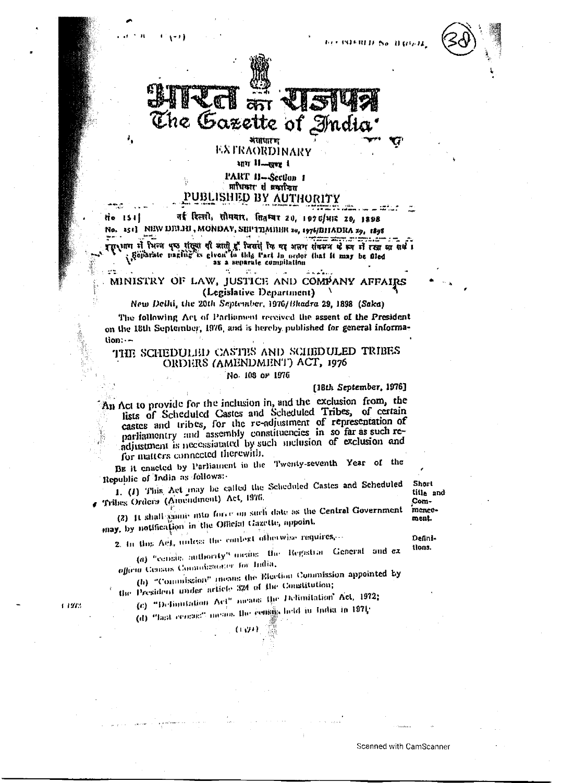



अशाधान EXTRAORDINARY

um Il-guz i

PART II-Section 1 प्राधिकार से प्रकारितत UBLISHED BY AUTHORITY

नई दिल्ली, सोमयार, तितम्बर 20, 1970/भाः 29, 1898 třo 1541 151] NEW DELHI, MONDAY, SEPTEMBER 20, 1976/BHADRA 29, 1898 No. a propose the consumer that is a separate compilation

### MINISTRY OF LAW, JUSTICE AND COMPANY AFFAIRS (Legislative Department)

New Delhi, the 20th September, 1976/Bhadra 29, 1898 (Saka)

The following Act of Pacliament received the assent of the President on the 18th September, 1976, and is hereby published for general informa- $\mathsf{tion}$ : $-$ 

## THE SCHEDULED CASTES AND SCHEDULED TRIBES ORDERS (AMENDMENT) ACT, 1976

#### No. 108 or 1976

[18th September, 1976]

An Act to provide for the inclusion in, and the exclusion from, the<br>lists of Scheduled Castes and Scheduled Tribes, of certain castes and tribes, for the re-adjustment of representation of parliamentry and assembly constituencies in so far as such readjustment is necessiatated by such melusion of exclusion and for matters connected therewith.

BE it enacted by Parliament in the Twenty-seventh Year of the Republic of India as follows:

1. (1) This Act may be called the Scheduled Castes and Scheduled Tribes Orders (Amendment) Act, 1976.

(2) It shall game into force on such date as the Central Government may, by notification in the Official Gazette, appoint.

title and Commencement.

Short

2. In this Act, unless the context otherwise requires,...

Definitions.

(a) "counts authority" means the Registral General and exofficia Census Connaissance: for India,

(h) "Commission" means the Election Commission appointed by the President under article 324 of the Constitution;

(c) "Definitation Act" means the Delimitation Act, 1972;

(LAJF)

(d) "last century means the congressful in India in 1971;

 $1127.2$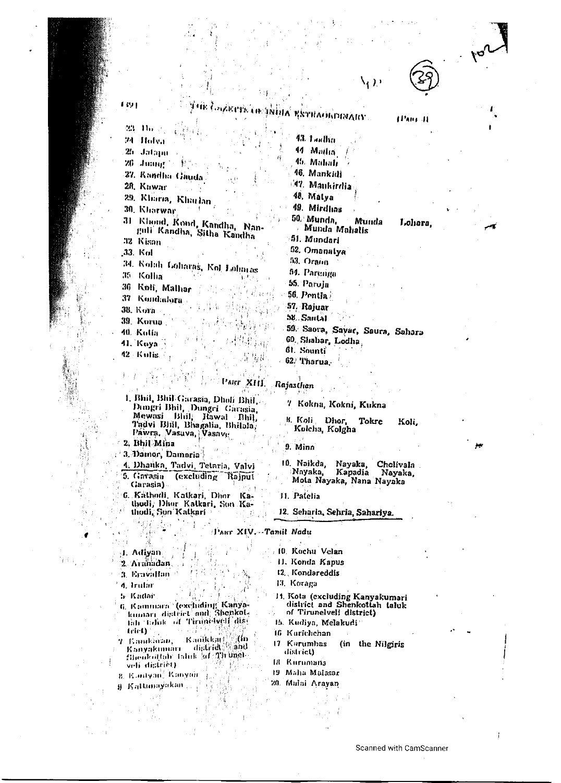| -23<br>Jhr∵e                                              | унік (әукетік он раңых қістысырымдыу                | 11'an il |
|-----------------------------------------------------------|-----------------------------------------------------|----------|
| 74<br>Holya                                               | 43. Loullin                                         |          |
| 2.<br>Jafapu                                              | 44 Madia                                            |          |
| 邪<br>$\text{Jump} \geq  V_{\text{eff}} $                  | 45. Mahali                                          |          |
| 27. Kandha Gauda.                                         | 46. Mankitli                                        |          |
| 28. Kawar                                                 | <sup>147</sup> . Mankirdia                          |          |
| 29. Kharia, Kharlan                                       | 48. Matya                                           |          |
| 30. Kharwar                                               | 49. Mirdins                                         |          |
| 31 Khond, Kond, Kandha, Nan-<br>guli Kandha, Sitha Kandha | 50. Munda,<br>Munda<br>Munda Mahalis<br>51. Mundari | Lohara,  |
| 32 Kisan<br>,33. Kol                                      | 52. Omanatya                                        |          |
|                                                           | 53. Orann                                           |          |
| 34. Kolah Loharas, Kol Lohntas<br>.T5<br>Kolha            | 54. Parenga                                         |          |
| 36                                                        | 55. Paroja                                          |          |
| Koli, Malhar<br>-37<br>Kondadora .                        | 56. Pentia i                                        |          |
| 38. Kora -                                                | 57. Rajuar                                          |          |
| 39. Korua                                                 | $58.$ Santal                                        |          |
| 40. Kolia                                                 | 59. Saora, Savar, Saura, Sahara                     |          |
| 41. Koya                                                  | 60. Shabar, Lodha.                                  |          |
| 42 Kulis                                                  | 61. Sounti                                          |          |
|                                                           | $62$ . Tharua.                                      |          |

ART XIII. Rajasthan

- 1. Bhil, Bhil Garasia, Dholi Bhil, Dungri Bhil, Dungri Garasia, Tadvi Blill, Bhagalia, Bhilala, Pawra, Vasava, Vasave
- 2. Bhil Mina
- 3. Damor, Damoria
- 4. Dhanka, Tadvi, Tetaria, Valvi 5. Govasia (excluding Rajput Garasia)
- 6. Kathodi, Katkari, Dhor Kathodi, Dhur Katkari, Son Ka-<br>thodi, Son Katkari
- 8. Koli Dhor, Tokre Kolcha, Kolgha
	- 9. Minn
	- 10. Naikda, Nayaka, Cholivala Nayaka, Kapadia Nayaka, Mota Nayaka, Nana Nayaka

Koli,

\, ) )

11. Patelia

10. Kachu Velan

11. Konda Kapus

12 Kondareddis

12. Seharia, Sehria, Sahariya.

7 Kokna, Kokni, Kukna

#### TART XIV. Taniil Nadu

4. Adiyan

Harsa

- 2 Aranadan.
- 3. Ernvallan
- 4. Irular
- h Kadar
- 6. Kammara (excluding Kanyatidi Talak of Timmsbell dist  $ter(t)$
- 7 Kanakiusa, Kanikkau (Kin<br>Kanyakumari distridi (And Sheukothin faluk af Tirunel veh district)
- B. Kandyan, Kanyon
- 9 Kattunayakan
- 13. Koraga 11. Kota (excluding Kanyakumari<br>district and Shenkottah taluk
- of Tirunelveli district)
- 15. Kudiya, Melakudi
- 16 Kurichchan
- 17 Kurumbas (in the Nilgiris district)
- (8 Rurumana
- 19 Maha Malasar
- 20. Mului Arayan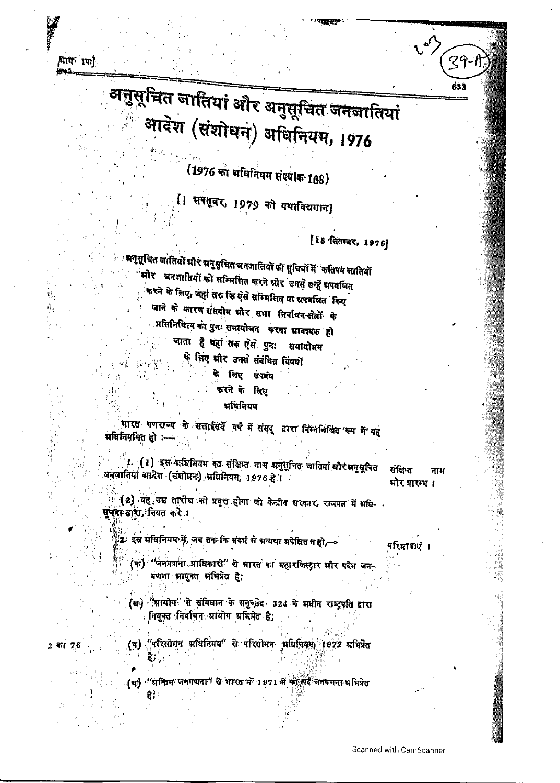अनुसूचित जातियां और अनुसूचित जनजातियां आदेश (संशोधन) अधिनियम, 1976

(1976 का अधिनियम संख्याक 108)

[1 भवतूबर, 1979 को यथाविद्यमान]

[18 सितम्बर, 1976]

ंभनुसूचित जातियों भीरं भनुसूचित जनजातियों की सूचियों में 'फतिपय सातियों भौर जनजातियों को सम्मिलित करने धोर उनसे उन्हें भपवजित करने के लिए, जहां तरु कि ऐसे सम्मिलित या ग्रथवर्जित किए जाने के कारण संसदोय और सभा निर्वाचन-क्षेत्रों के प्रतिनिषित्व को पुनः समायोजन करना सावश्यक हो जाता है वहां तक ऐसे पुनः समायोजन षे सिए भीर उनसे संबंधित विषयों

# के लिए उपवंष

### करने के लिए प्रधिनियम

भारत गणराज्य के सत्ताईसदें वर्ष में संसद् द्वारा निम्नलिखित रूप में यह भविनियमित हो :-

1. (1) इस अधिनियम का संक्षिप्त नाम अनुसूचित जातियां धौरभनुसूचित अनलातियां आदेश (संशोधन) अधिनियम, 1976 है।

संसप्त नाम मौर प्रारम ।

 $39-$ 

633

(2) यह उस तारीख को प्रवृत होगा जो केन्द्रीय सरकार, राजपत में गयि-सुचना बारा, नियत करें।

.<br>2- इस मधिनियम में, जब तक कि संदर्भ से भन्यथा अपेक्षित न हो,—

परिमागएं ।

(क) "जनगणना प्राधिकारी" थे भारत का महारजिस्ट्रार धौर पदेन जन-गणना भ्रायुक्त अभिभेत है;

(ख) "मायोग" से संविधान के मनुच्छेद 324 के मधीन राष्ट्रपति द्वारा नियनत निर्वाचन आयोग अभिमेत है;

(ग) "परिसीमन शक्षिनियम" से परिसीमन भविनियम, 1972 ममिन्नेत 2 का 76

용) :

(धर्नु ''श्रन्तिम जनगणना' से भारत में 1971 में फी गई जनगणना अभिप्रेत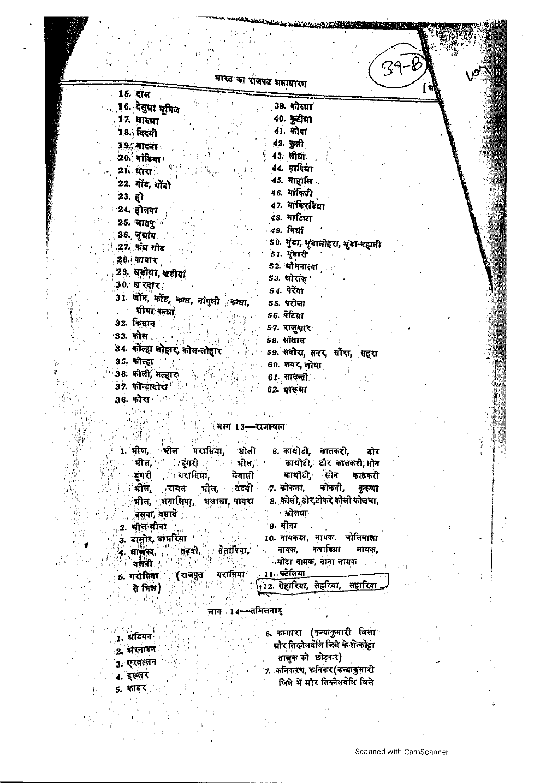| 15. राल                                | <ረዓ-<br>भारत का राजपत मसाधारण      |
|----------------------------------------|------------------------------------|
| 16. देसुमा भूमिज                       | 39. कोरपा                          |
| 17. घारमा                              | 40. कुटीमा                         |
| 18. दिल्यी                             | 41. मोया                           |
| 19. गादना                              | 42. कुली                           |
| 20. यांटिया                            | 43. लोघा                           |
| 21. मारा                               | 44. ग़ादिशा                        |
| 22. गोंड, गोंडो                        | 45. माहासि.                        |
| 23.7                                   | 46. मांकिडी                        |
| 24. होलवा                              | 17. मांकिरीटशा                     |
| 25. जातपुर्व                           | 48. माटिसा                         |
| 26. जुलांग.                            | 49. मिर्घा                         |
| .27. मांघ गोट                          | 50. गुंडा, मुंडालोहरा, मुंडा-महाली |
| ं28 काबार                              | 51. पुंडारी                        |
| 29. खडीया, खडीयां                      | 52 मौमनात्या                       |
| 30. ख रवार                             | 53. पोरांक                         |
| 31. खोंड, कोंड, कन्ध, नांगुली , कन्धा, | 54. पेरेंगा                        |
| ्थीया कन्धा                            | 55. परोजा                          |
| 32. किसान                              | 56. पेंटिया                        |
| 33. कोल                                | 57. राजुम्नार                      |
| 34. कोल्हा लोहार, कोस-लोहार            | 58. संताल                          |
| 35. कोल्हा                             | 59. सवीरा, सवर, सौंरा, सहरा        |
| 36. कोली, मल्हार                       | 60 गवर, लोधा                       |
| 37. कोन्डादोरा                         | 61. सावन्ती                        |
| 38. कोरा ँ                             | 62. यारुभा                         |
|                                        |                                    |
|                                        | ्भागः 13-राजस्थानः                 |
|                                        |                                    |

l.<br>Fr

 $\begin{bmatrix} 1 \\ \frac{1}{2} \\ 1 \end{bmatrix}$ 

A ALL 1997 MARINE WAS LEADERED

|                        | 1. भील, भील गरासिया, घोली   |                       | 6. कायोडी, कातकरी,               |                       | ंदोर |
|------------------------|-----------------------------|-----------------------|----------------------------------|-----------------------|------|
|                        | भीत, राज्य स्वरो के अन्ति । |                       |                                  | कायोडी डोर कातकरी सोन |      |
|                        | डूंगरी अधारातियां, मेवासी   |                       |                                  | काथौडी, सोन कातकरी    |      |
|                        | मील, रावल मील, तडवी         |                       | 7. कोकना, कोकनी, कुकणा           |                       |      |
|                        | चील, भगालिया, भलाला पावरा   |                       | 8. कोली, ढोर,टोकरे कोली फोलचा,   |                       |      |
|                        | ं वसवा, वसाये :             |                       | ं अनेलवाः                        |                       |      |
| 2. भील मीना            |                             |                       | ं9. मीना                         |                       |      |
| 3. डामोर, डामरिया      |                             |                       | 10. नायकड़ा, नायक, चोलियाला      |                       |      |
|                        | 4. वाणका, तदबी, तेतारिया,   |                       | . नायक, कपाडिया नायक,            |                       |      |
| ावसेवी <sup>अञ</sup>   |                             |                       | ंमोटा नायक, नाना नायक            |                       |      |
| <sub>5</sub> . गरासिया | (राजपूत)                    | ्गरासिया । 11 पटेलिया |                                  |                       |      |
| से मित्र)              | 强性原型                        |                       | 112. सेहारिया, सेहरिया, सहारिया_ |                       |      |
|                        |                             |                       |                                  |                       |      |
|                        |                             | ाभाग ा ∢—तमिलनाड      |                                  |                       |      |
|                        |                             |                       |                                  |                       |      |

|            | 6. कम्मारा (कन्याकुमारी जिला       |  |
|------------|------------------------------------|--|
| प्राडयन    | मौर तिल्नेतबेलि जिते के शेल्कोट्रा |  |
| ्2. मरनाडन | तालुक को छोड़कर)                   |  |
| 3. एरवल्लन | 7. कनिकरण, कनिकर (कन्याकुमारो      |  |
| इस्लर      | जिले में मौर तिरुनेलवेलि जिले      |  |

 $\ddot{\phantom{0}}$ 

Ì

 $\vdots$ 

i.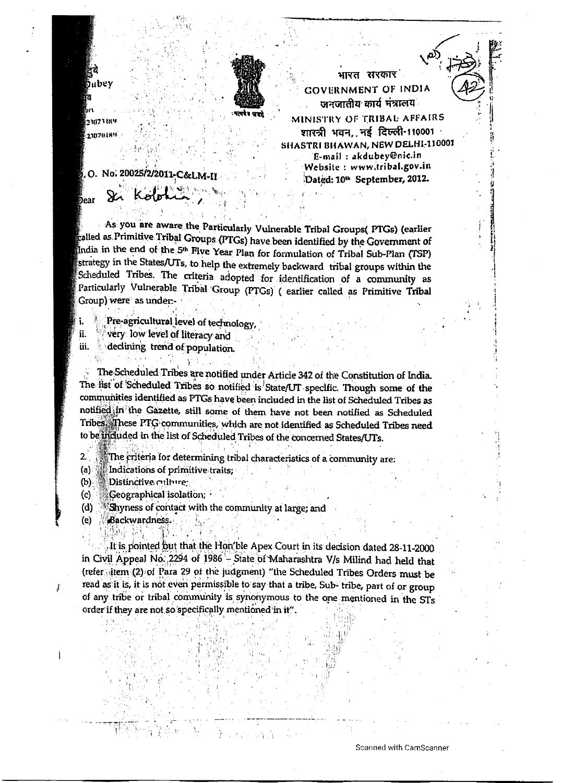

23073 BS4 230704896

bear

mbev

रत रारकार **GOVERNMENT OF INDIA** जनजातीय कार्य मंत्रालय

MINISTRY OF TRIBAL AFFAIRS शारत्री भवन, नई दिल्ली-110001 SHASTRI BHAWAN, NEW DELHI-110001 E-mail: akdubey@nic.in Website : www.tribal.gov.in Dated: 10<sup>th</sup> September, 2012.

O. No. 20025/2/2011-C&LM-II

As you are aware the Particularly Vulnerable Tribal Groups( PTGs) (earlier called as Primitive Tribal Groups (PTGs) have been identified by the Government of India in the end of the 5<sup>th</sup> Five Year Plan for formulation of Tribal Sub-Plan (TSP) strategy in the States/UTs, to help the extremely backward tribal groups within the Scheduled Tribes. The criteria adopted for identification of a community as Particularly Vulnerable Tribal Group (PTGs) (earlier called as Primitive Tribal Group) were as under:-

Pre-agricultural level of technology,

very low level of literacy and ii.

declining trend of population. iii.

The Scheduled Tribes are notified under Article 342 of the Constitution of India. The list of Scheduled Tribes so notified is State/UT specific. Though some of the communities identified as PTGs have been included in the list of Scheduled Tribes as notified in the Gazette, still some of them have not been notified as Scheduled Tribes. These PTG communities, which are not identified as Scheduled Tribes need to be included in the list of Scheduled Tribes of the concerned States/UTs.

The criteria for determining tribal characteristics of a community are:  $2.$ 

 $(a)$ Indications of primitive traits;

Distinctive culture:  $(b)$ 

 $(c)$ Geographical isolation; •

Shyness of contact with the community at large; and  $(d)$ 

Backwardness.  $(e)$  $\mathcal{D}_{\text{H}}$ ψt,

 $\mathfrak{f}$  .

It is pointed but that the Hon'ble Apex Court in its decision dated 28-11-2000 in Civil Appeal No. 2294 of 1986 - State of Maharashtra V/s Milind had held that (refer sitem (2) of Para 29 of the judgment) "the Scheduled Tribes Orders must be read as it is, it is not even permissible to say that a tribe, Sub- tribe, part of or group of any tribe or tribal community is synonymous to the one mentioned in the STs order if they are not so specifically mentioned in it".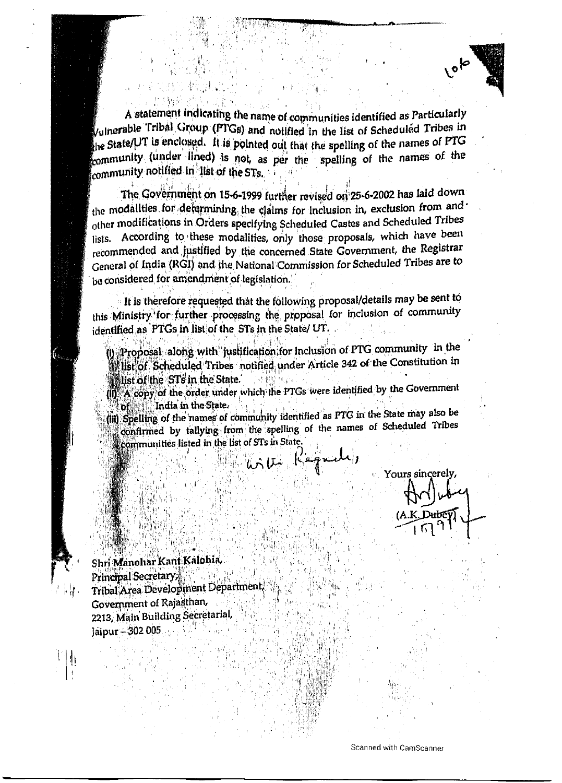

A statement indicating the name of communities identified as Particularly Vulnerable Tribal Group (PTGs) and notified in the list of Scheduled Tribes in  $\epsilon$  state/UT is enclosed. It is pointed out that the spelling of the names of PTG community (under lined) is not, as per the spelling of the names of the community notified in list of the STs.

The Government on 15-6-1999 further revised on 25-6-2002 has laid down the modalities for determining the claims for inclusion in, exclusion from and other modifications in Orders specifying Scheduled Castes and Scheduled Tribes lists. According to these modalities, only those proposals, which have been recommended and justified by the concerned State Government, the Registrar General of India (RGI) and the National Commission for Scheduled Tribes are to be considered for amendment of legislation.

It is therefore requested that the following proposal/details may be sent to this Ministry for further processing the proposal for inclusion of community identified as PTGs in list of the STs in the State/ UT.

(j) Proposal along with justification for inclusion of PTG community in the illst of Scheduled Tribes notified under Article 342 of the Constitution in illist of the STs in the State.

(iii) A copy of the order under which the PTGs were identified by the Government India in the State  $\delta$  of  $\delta$  . The  $\delta$ 

(iii) Spelling of the names of community identified as PTG in the State may also be confirmed by tallying from the spelling of the names of Scheduled Tribes communities listed in the list of STs in State

his U. Kagnati,

Yours sincerely,

Shri Manohar Kant Kalohia, Principal Secretary 그 말을 들 Tribal Area Development Department. Government of Rajasthan, 2213, Main Building Secretarial, Jaipur + 302 005

 $\mathcal{V}[\cdot]$ 

Scanned with CamScanner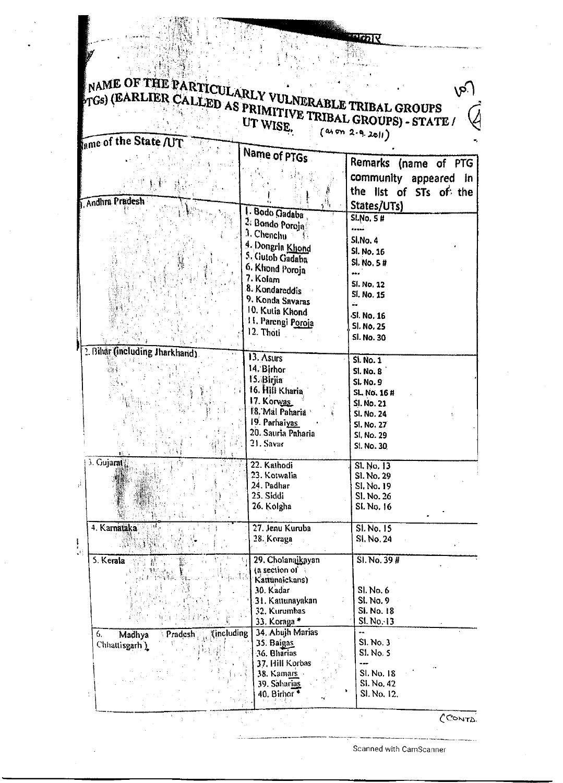## NAME OF THE  $_{\Gamma \text{GS}}$ ) (EARLIER UTWISE.

花方

| $_{\text{gme of}}$ the State /UT       |                                 |                        |
|----------------------------------------|---------------------------------|------------------------|
|                                        | Name of PTGs                    |                        |
|                                        |                                 | Remarks (name of PTG   |
|                                        |                                 | community appeared in  |
|                                        |                                 | the list of STs of the |
| <b>Andhra Pradesh</b>                  |                                 | States/UTs)            |
|                                        | I. Bodo Gadaba                  | <b>SI.No. 5 #</b>      |
|                                        | 2. Bondo Poroja                 | شمومه                  |
|                                        | 3. Chenchu                      | SI.No. 4               |
|                                        | 4. Dongrin Khond                | SI. No. 16             |
|                                        | 5. Gutob Gadaba                 | Sl. No. 5#             |
|                                        | 6. Khond Poroja                 |                        |
|                                        | 7. Kolam                        | <b>SI. No. 12</b>      |
|                                        | 8. Kondareddis                  | SI. No. 15             |
|                                        | 9. Konda Savaras                | ù.                     |
|                                        | 10. Kutia Khond                 | Sl. No. 16             |
|                                        | 11. Parengi Poroja              | <b>SI. No. 25</b>      |
|                                        | 12. Thoti                       | Sl. No. 30             |
| 2. Bihår (including Jharkhand)         |                                 |                        |
|                                        | 13. Asurs                       | SI. No. 1              |
|                                        | 14. Birhor                      | <b>SI. No. 8</b>       |
|                                        | 15. Birjia                      | <b>SI. No. 9</b>       |
|                                        | 16. Hill Kharia                 | SL. No. 16 #           |
|                                        | 17. Korwas                      | SI. No. 21             |
|                                        | <b>E8. Mal Paharia</b>          | <b>Sl. No. 24</b>      |
|                                        | 19. Parhaiyas                   | SI, No. 27             |
|                                        | 20. Sauria Paharia<br>21. Savar | <b>SI, No. 29</b>      |
|                                        |                                 | SI. No. 30             |
| 3. Gujarat                             | 22. Kathodi                     | Sl. No. 13             |
|                                        | 23. Kotwalia                    | SI. No. 29             |
|                                        | 24. Padhar                      | SI, No. 19             |
|                                        | 25. Siddi                       | Sl. No. 26             |
|                                        | 26. Kolgha                      | SI. No. 16             |
|                                        |                                 |                        |
| 4. Karnataka                           | 27. Jenu Kuruba                 | SI. No. 15             |
| SPRAVE.                                | 28. Koraga                      | SI No. 24              |
|                                        |                                 |                        |
| 5. Kerala                              | 29. Cholanaikayan               | SI. No. 39#            |
|                                        | (a section of<br>Kattumickans)  |                        |
|                                        | 30. Kadar                       | SI. No. 6              |
|                                        | 31. Kattunayakan                | SI, No. 9              |
|                                        | 32. Kurumbas                    | SI. No. 18             |
|                                        | 33. Koraga*                     | $SL$ No. 13            |
| (including)<br>6,<br>Madhya<br>Pradesh | 34. Abujh Marias                |                        |
| Chhattisgarh )                         | 35. Baigas                      | SI. No. 3              |
|                                        | 36. Bharias                     | <b>SI. No. 5</b>       |
|                                        | 37. Hill Korbas                 | ---                    |
|                                        | 38. Kamars                      | SI, No. 18             |
|                                        | 39. Saharias                    | SI. No. 42             |
| T                                      | 40. Birhor <sup>*</sup>         | SI. No. 12.            |
|                                        |                                 |                        |

CONTA.

Scanned with CamScanner